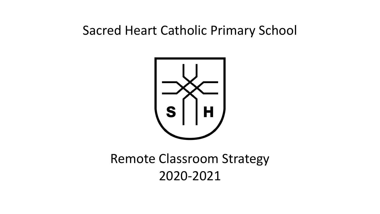# Sacred Heart Catholic Primary School



# Remote Classroom Strategy 2020-2021